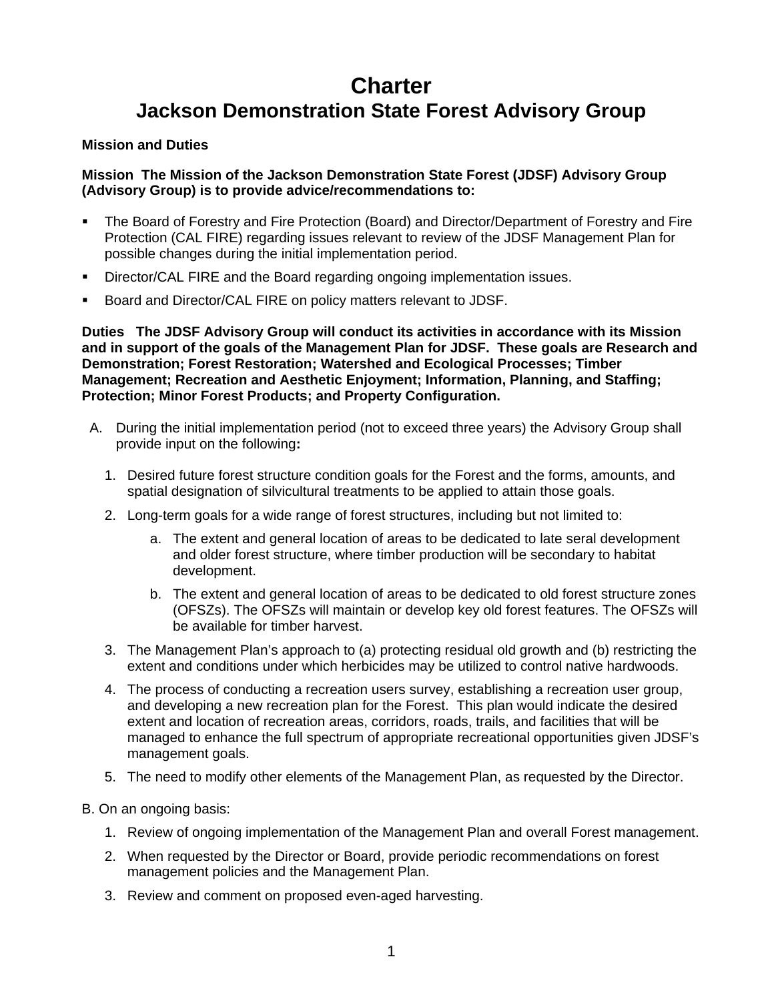# **Charter Jackson Demonstration State Forest Advisory Group**

#### **Mission and Duties**

#### **Mission The Mission of the Jackson Demonstration State Forest (JDSF) Advisory Group (Advisory Group) is to provide advice/recommendations to:**

- **The Board of Forestry and Fire Protection (Board) and Director/Department of Forestry and Fire** Protection (CAL FIRE) regarding issues relevant to review of the JDSF Management Plan for possible changes during the initial implementation period.
- Director/CAL FIRE and the Board regarding ongoing implementation issues.
- Board and Director/CAL FIRE on policy matters relevant to JDSF.

**Duties The JDSF Advisory Group will conduct its activities in accordance with its Mission and in support of the goals of the Management Plan for JDSF. These goals are Research and Demonstration; Forest Restoration; Watershed and Ecological Processes; Timber Management; Recreation and Aesthetic Enjoyment; Information, Planning, and Staffing; Protection; Minor Forest Products; and Property Configuration.** 

- A.During the initial implementation period (not to exceed three years) the Advisory Group shall provide input on the following**:** 
	- 1. Desired future forest structure condition goals for the Forest and the forms, amounts, and spatial designation of silvicultural treatments to be applied to attain those goals.
	- 2. Long-term goals for a wide range of forest structures, including but not limited to:
		- a. The extent and general location of areas to be dedicated to late seral development and older forest structure, where timber production will be secondary to habitat development.
		- b. The extent and general location of areas to be dedicated to old forest structure zones (OFSZs). The OFSZs will maintain or develop key old forest features. The OFSZs will be available for timber harvest.
	- 3. The Management Plan's approach to (a) protecting residual old growth and (b) restricting the extent and conditions under which herbicides may be utilized to control native hardwoods.
	- 4. The process of conducting a recreation users survey, establishing a recreation user group, and developing a new recreation plan for the Forest. This plan would indicate the desired extent and location of recreation areas, corridors, roads, trails, and facilities that will be managed to enhance the full spectrum of appropriate recreational opportunities given JDSF's management goals.
	- 5. The need to modify other elements of the Management Plan, as requested by the Director.
- B. On an ongoing basis:
	- 1. Review of ongoing implementation of the Management Plan and overall Forest management.
	- 2. When requested by the Director or Board, provide periodic recommendations on forest management policies and the Management Plan.
	- 3. Review and comment on proposed even-aged harvesting.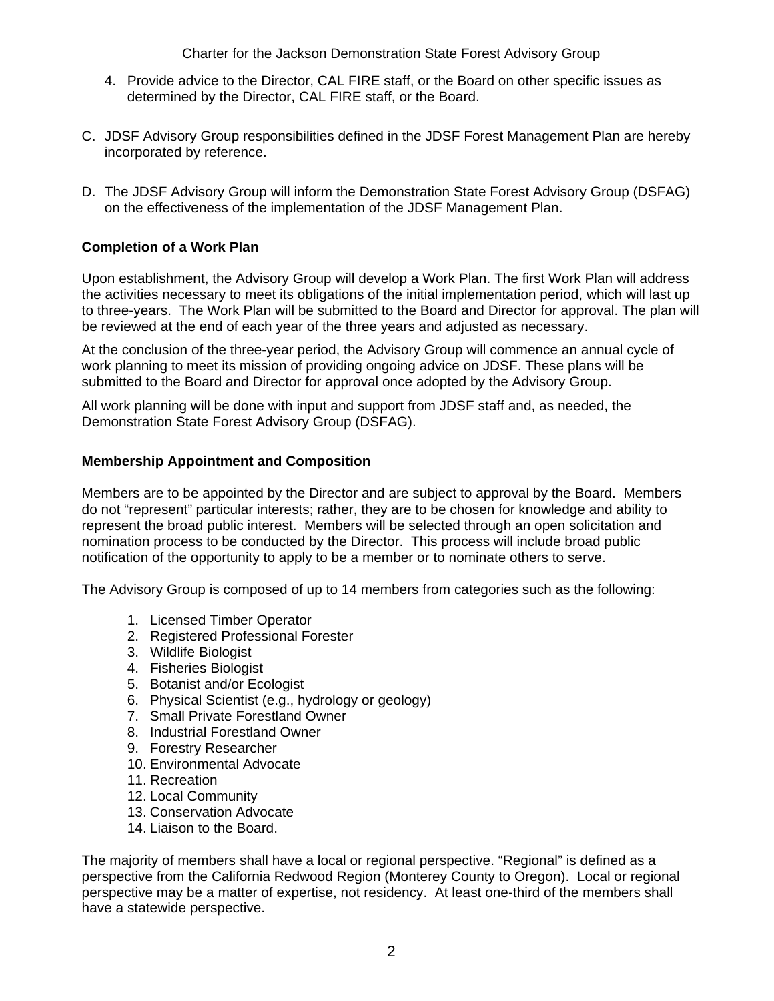Charter for the Jackson Demonstration State Forest Advisory Group

- 4. Provide advice to the Director, CAL FIRE staff, or the Board on other specific issues as determined by the Director, CAL FIRE staff, or the Board.
- C. JDSF Advisory Group responsibilities defined in the JDSF Forest Management Plan are hereby incorporated by reference.
- D. The JDSF Advisory Group will inform the Demonstration State Forest Advisory Group (DSFAG) on the effectiveness of the implementation of the JDSF Management Plan.

# **Completion of a Work Plan**

Upon establishment, the Advisory Group will develop a Work Plan. The first Work Plan will address the activities necessary to meet its obligations of the initial implementation period, which will last up to three-years. The Work Plan will be submitted to the Board and Director for approval. The plan will be reviewed at the end of each year of the three years and adjusted as necessary.

At the conclusion of the three-year period, the Advisory Group will commence an annual cycle of work planning to meet its mission of providing ongoing advice on JDSF. These plans will be submitted to the Board and Director for approval once adopted by the Advisory Group.

All work planning will be done with input and support from JDSF staff and, as needed, the Demonstration State Forest Advisory Group (DSFAG).

## **Membership Appointment and Composition**

Members are to be appointed by the Director and are subject to approval by the Board. Members do not "represent" particular interests; rather, they are to be chosen for knowledge and ability to represent the broad public interest. Members will be selected through an open solicitation and nomination process to be conducted by the Director. This process will include broad public notification of the opportunity to apply to be a member or to nominate others to serve.

The Advisory Group is composed of up to 14 members from categories such as the following:

- 1. Licensed Timber Operator
- 2. Registered Professional Forester
- 3. Wildlife Biologist
- 4. Fisheries Biologist
- 5. Botanist and/or Ecologist
- 6. Physical Scientist (e.g., hydrology or geology)
- 7. Small Private Forestland Owner
- 8. Industrial Forestland Owner
- 9. Forestry Researcher
- 10. Environmental Advocate
- 11. Recreation
- 12. Local Community
- 13. Conservation Advocate
- 14. Liaison to the Board.

The majority of members shall have a local or regional perspective. "Regional" is defined as a perspective from the California Redwood Region (Monterey County to Oregon). Local or regional perspective may be a matter of expertise, not residency. At least one-third of the members shall have a statewide perspective.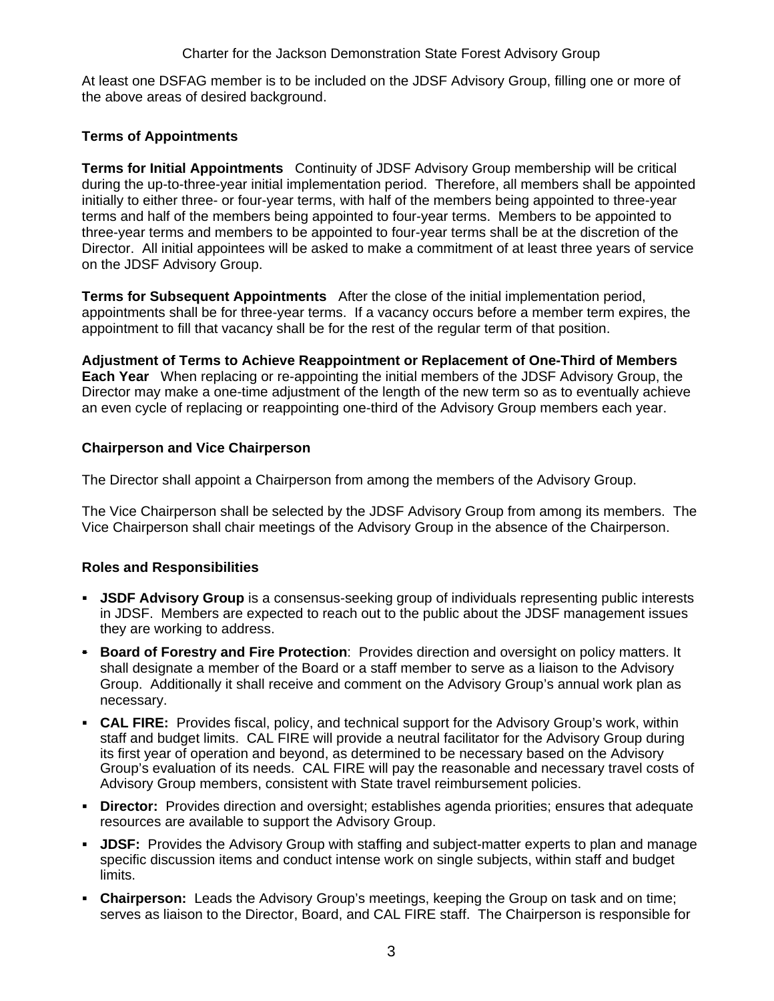At least one DSFAG member is to be included on the JDSF Advisory Group, filling one or more of the above areas of desired background.

# **Terms of Appointments**

**Terms for Initial Appointments** Continuity of JDSF Advisory Group membership will be critical during the up-to-three-year initial implementation period. Therefore, all members shall be appointed initially to either three- or four-year terms, with half of the members being appointed to three-year terms and half of the members being appointed to four-year terms. Members to be appointed to three-year terms and members to be appointed to four-year terms shall be at the discretion of the Director. All initial appointees will be asked to make a commitment of at least three years of service on the JDSF Advisory Group.

**Terms for Subsequent Appointments** After the close of the initial implementation period, appointments shall be for three-year terms. If a vacancy occurs before a member term expires, the appointment to fill that vacancy shall be for the rest of the regular term of that position.

**Adjustment of Terms to Achieve Reappointment or Replacement of One-Third of Members Each Year** When replacing or re-appointing the initial members of the JDSF Advisory Group, the Director may make a one-time adjustment of the length of the new term so as to eventually achieve an even cycle of replacing or reappointing one-third of the Advisory Group members each year.

## **Chairperson and Vice Chairperson**

The Director shall appoint a Chairperson from among the members of the Advisory Group.

The Vice Chairperson shall be selected by the JDSF Advisory Group from among its members. The Vice Chairperson shall chair meetings of the Advisory Group in the absence of the Chairperson.

# **Roles and Responsibilities**

- **JSDF Advisory Group** is a consensus-seeking group of individuals representing public interests in JDSF. Members are expected to reach out to the public about the JDSF management issues they are working to address.
- **Board of Forestry and Fire Protection**: Provides direction and oversight on policy matters. It shall designate a member of the Board or a staff member to serve as a liaison to the Advisory Group. Additionally it shall receive and comment on the Advisory Group's annual work plan as necessary.
- **CAL FIRE:** Provides fiscal, policy, and technical support for the Advisory Group's work, within staff and budget limits. CAL FIRE will provide a neutral facilitator for the Advisory Group during its first year of operation and beyond, as determined to be necessary based on the Advisory Group's evaluation of its needs. CAL FIRE will pay the reasonable and necessary travel costs of Advisory Group members, consistent with State travel reimbursement policies.
- **Director:** Provides direction and oversight; establishes agenda priorities; ensures that adequate resources are available to support the Advisory Group.
- **JDSF:** Provides the Advisory Group with staffing and subject-matter experts to plan and manage specific discussion items and conduct intense work on single subjects, within staff and budget limits.
- **Chairperson:** Leads the Advisory Group's meetings, keeping the Group on task and on time; serves as liaison to the Director, Board, and CAL FIRE staff. The Chairperson is responsible for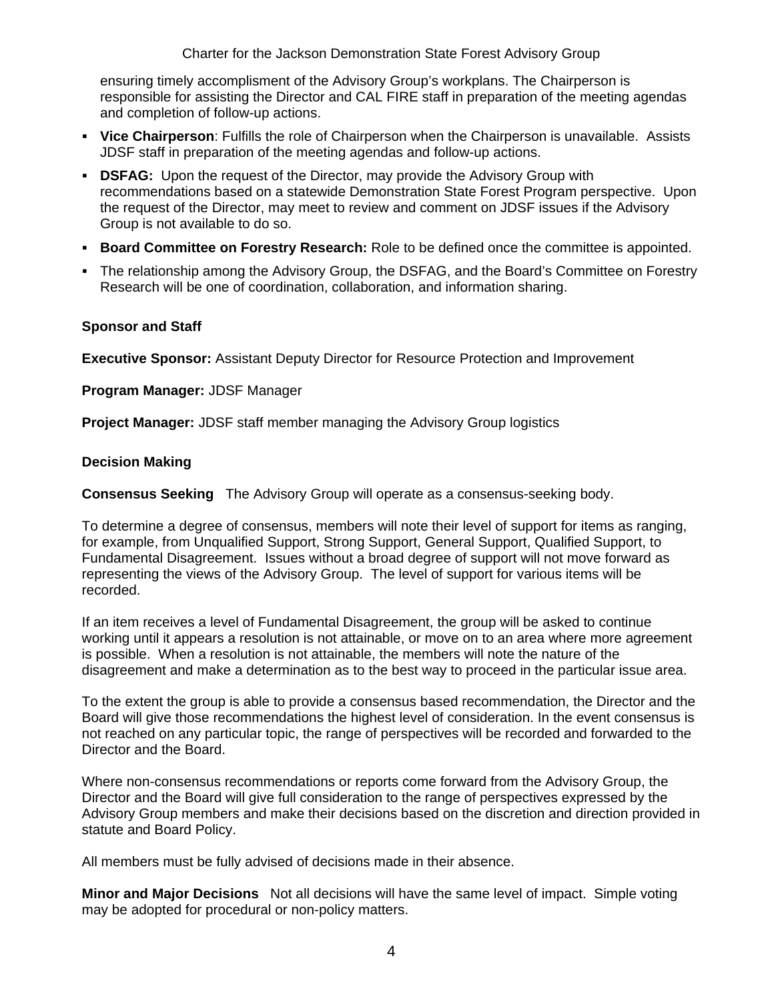Charter for the Jackson Demonstration State Forest Advisory Group

ensuring timely accomplisment of the Advisory Group's workplans. The Chairperson is responsible for assisting the Director and CAL FIRE staff in preparation of the meeting agendas and completion of follow-up actions.

- **Vice Chairperson**: Fulfills the role of Chairperson when the Chairperson is unavailable. Assists JDSF staff in preparation of the meeting agendas and follow-up actions.
- **DISFAG:** Upon the request of the Director, may provide the Advisory Group with recommendations based on a statewide Demonstration State Forest Program perspective. Upon the request of the Director, may meet to review and comment on JDSF issues if the Advisory Group is not available to do so.
- **Board Committee on Forestry Research:** Role to be defined once the committee is appointed.
- The relationship among the Advisory Group, the DSFAG, and the Board's Committee on Forestry Research will be one of coordination, collaboration, and information sharing.

#### **Sponsor and Staff**

**Executive Sponsor:** Assistant Deputy Director for Resource Protection and Improvement

**Program Manager:** JDSF Manager

**Project Manager:** JDSF staff member managing the Advisory Group logistics

#### **Decision Making**

**Consensus Seeking** The Advisory Group will operate as a consensus-seeking body.

To determine a degree of consensus, members will note their level of support for items as ranging, for example, from Unqualified Support, Strong Support, General Support, Qualified Support, to Fundamental Disagreement. Issues without a broad degree of support will not move forward as representing the views of the Advisory Group. The level of support for various items will be recorded.

If an item receives a level of Fundamental Disagreement, the group will be asked to continue working until it appears a resolution is not attainable, or move on to an area where more agreement is possible. When a resolution is not attainable, the members will note the nature of the disagreement and make a determination as to the best way to proceed in the particular issue area.

To the extent the group is able to provide a consensus based recommendation, the Director and the Board will give those recommendations the highest level of consideration. In the event consensus is not reached on any particular topic, the range of perspectives will be recorded and forwarded to the Director and the Board.

Where non-consensus recommendations or reports come forward from the Advisory Group, the Director and the Board will give full consideration to the range of perspectives expressed by the Advisory Group members and make their decisions based on the discretion and direction provided in statute and Board Policy.

All members must be fully advised of decisions made in their absence.

**Minor and Major Decisions** Not all decisions will have the same level of impact. Simple voting may be adopted for procedural or non-policy matters.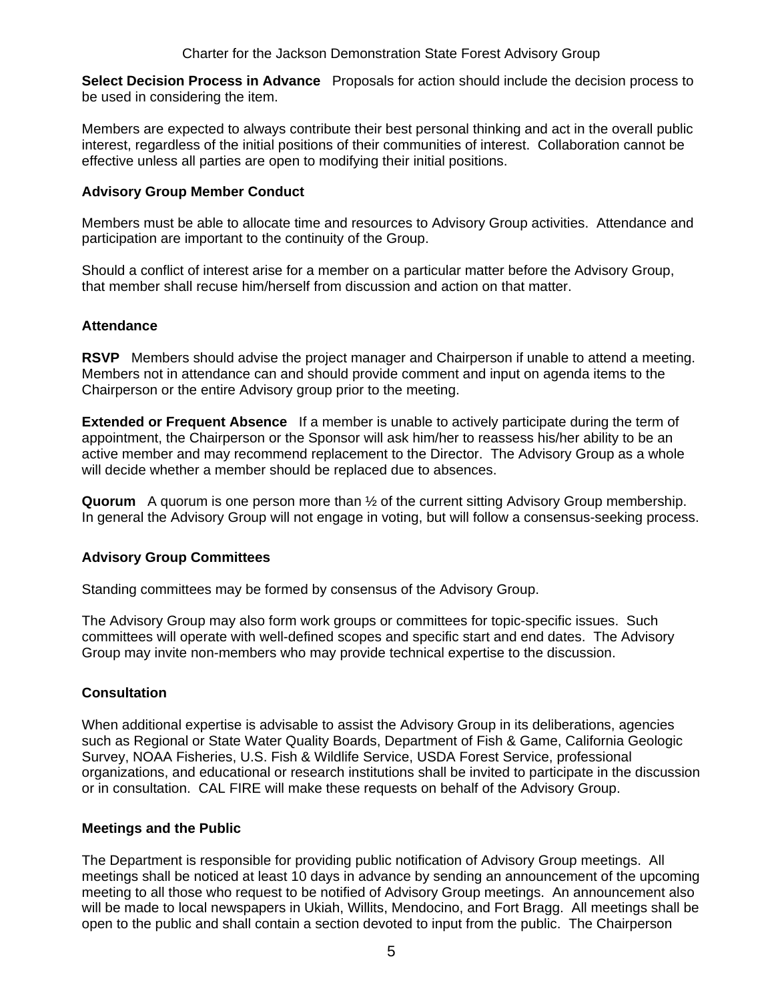**Select Decision Process in Advance** Proposals for action should include the decision process to be used in considering the item.

Members are expected to always contribute their best personal thinking and act in the overall public interest, regardless of the initial positions of their communities of interest. Collaboration cannot be effective unless all parties are open to modifying their initial positions.

## **Advisory Group Member Conduct**

Members must be able to allocate time and resources to Advisory Group activities. Attendance and participation are important to the continuity of the Group.

Should a conflict of interest arise for a member on a particular matter before the Advisory Group, that member shall recuse him/herself from discussion and action on that matter.

#### **Attendance**

**RSVP** Members should advise the project manager and Chairperson if unable to attend a meeting. Members not in attendance can and should provide comment and input on agenda items to the Chairperson or the entire Advisory group prior to the meeting.

**Extended or Frequent Absence** If a member is unable to actively participate during the term of appointment, the Chairperson or the Sponsor will ask him/her to reassess his/her ability to be an active member and may recommend replacement to the Director. The Advisory Group as a whole will decide whether a member should be replaced due to absences.

**Quorum** A quorum is one person more than ½ of the current sitting Advisory Group membership. In general the Advisory Group will not engage in voting, but will follow a consensus-seeking process.

# **Advisory Group Committees**

Standing committees may be formed by consensus of the Advisory Group.

The Advisory Group may also form work groups or committees for topic-specific issues. Such committees will operate with well-defined scopes and specific start and end dates. The Advisory Group may invite non-members who may provide technical expertise to the discussion.

#### **Consultation**

When additional expertise is advisable to assist the Advisory Group in its deliberations, agencies such as Regional or State Water Quality Boards, Department of Fish & Game, California Geologic Survey, NOAA Fisheries, U.S. Fish & Wildlife Service, USDA Forest Service, professional organizations, and educational or research institutions shall be invited to participate in the discussion or in consultation. CAL FIRE will make these requests on behalf of the Advisory Group.

#### **Meetings and the Public**

The Department is responsible for providing public notification of Advisory Group meetings. All meetings shall be noticed at least 10 days in advance by sending an announcement of the upcoming meeting to all those who request to be notified of Advisory Group meetings. An announcement also will be made to local newspapers in Ukiah, Willits, Mendocino, and Fort Bragg. All meetings shall be open to the public and shall contain a section devoted to input from the public. The Chairperson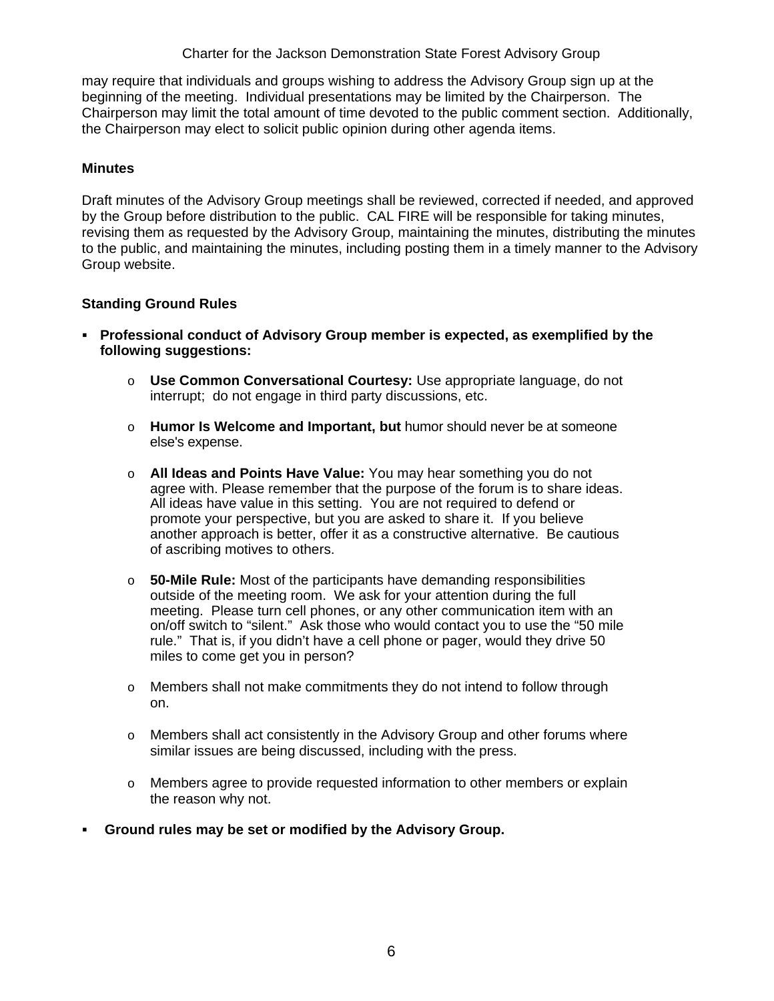Charter for the Jackson Demonstration State Forest Advisory Group

may require that individuals and groups wishing to address the Advisory Group sign up at the beginning of the meeting. Individual presentations may be limited by the Chairperson. The Chairperson may limit the total amount of time devoted to the public comment section. Additionally, the Chairperson may elect to solicit public opinion during other agenda items.

#### **Minutes**

Draft minutes of the Advisory Group meetings shall be reviewed, corrected if needed, and approved by the Group before distribution to the public. CAL FIRE will be responsible for taking minutes, revising them as requested by the Advisory Group, maintaining the minutes, distributing the minutes to the public, and maintaining the minutes, including posting them in a timely manner to the Advisory Group website.

## **Standing Ground Rules**

- **Professional conduct of Advisory Group member is expected, as exemplified by the following suggestions:** 
	- o **Use Common Conversational Courtesy:** Use appropriate language, do not interrupt; do not engage in third party discussions, etc.
	- o **Humor Is Welcome and Important, but** humor should never be at someone else's expense.
	- o **All Ideas and Points Have Value:** You may hear something you do not agree with. Please remember that the purpose of the forum is to share ideas. All ideas have value in this setting. You are not required to defend or promote your perspective, but you are asked to share it. If you believe another approach is better, offer it as a constructive alternative. Be cautious of ascribing motives to others.
	- o **50-Mile Rule:** Most of the participants have demanding responsibilities outside of the meeting room. We ask for your attention during the full meeting. Please turn cell phones, or any other communication item with an on/off switch to "silent." Ask those who would contact you to use the "50 mile rule." That is, if you didn't have a cell phone or pager, would they drive 50 miles to come get you in person?
	- o Members shall not make commitments they do not intend to follow through on.
	- $\circ$  Members shall act consistently in the Advisory Group and other forums where similar issues are being discussed, including with the press.
	- o Members agree to provide requested information to other members or explain the reason why not.
- **Ground rules may be set or modified by the Advisory Group.**